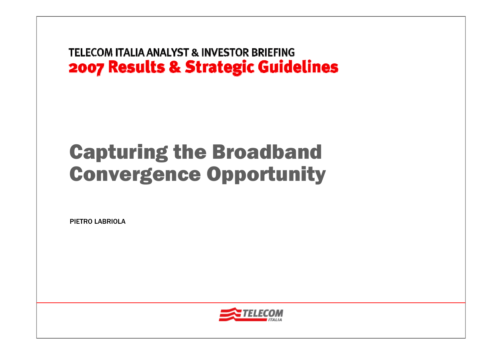# Capturing the Broadband Convergence Opportunity

PIETRO LABRIOLA

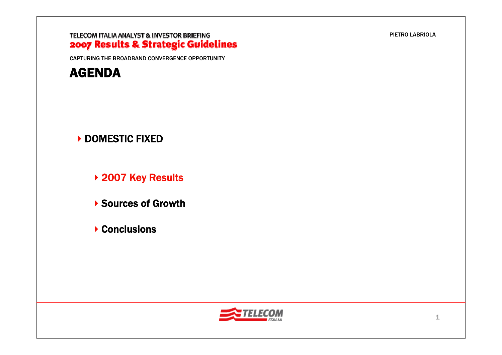CAPTURING THE BROADBAND CONVERGENCE OPPORTUNITY



### ▶ DOMESTIC FIXED

▶ 2007 Key Results

▶ Sources of Growth

▶ Conclusions



PIETRO LABRIOLA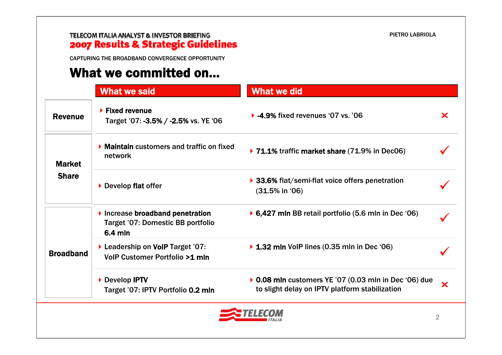CAPTURING THE BROADBAND CONVERGENCE OPPORTUNITY

## What we committed on…

|                               | <b>What we said</b>                                                            | <b>What we did</b>                                                                                      |               |
|-------------------------------|--------------------------------------------------------------------------------|---------------------------------------------------------------------------------------------------------|---------------|
| <b>Revenue</b>                | $\blacktriangleright$ Fixed revenue<br>Target '07: -3.5% / -2.5% vs. YE '06    | $\triangleright$ -4.9% fixed revenues '07 vs. '06                                                       | ×             |
| <b>Market</b><br><b>Share</b> | $\blacktriangleright$ Maintain customers and traffic on fixed<br>network       | ▶ 71.1% traffic market share (71.9% in Dec06)                                                           |               |
|                               | Develop flat offer                                                             | ▶ 33.6% flat/semi-flat voice offers penetration<br>$(31.5\% \text{ in } '06)$                           |               |
| <b>Broadband</b>              | Increase broadband penetration<br>Target '07: Domestic BB portfolio<br>6.4 mln | ▶ 6,427 mln BB retail portfolio $(5.6$ mln in Dec '06)                                                  |               |
|                               | ▶ Leadership on VoIP Target '07:<br>VolP Customer Portfolio >1 mln             | $\triangleright$ 1.32 mln VoIP lines (0.35 mln in Dec '06)                                              |               |
|                               | Develop IPTV<br>Target '07: IPTV Portfolio 0.2 mln                             | ▶ 0.08 mln customers YE '07 (0.03 mln in Dec '06) due<br>to slight delay on IPTV platform stabilization | $\bm{\times}$ |

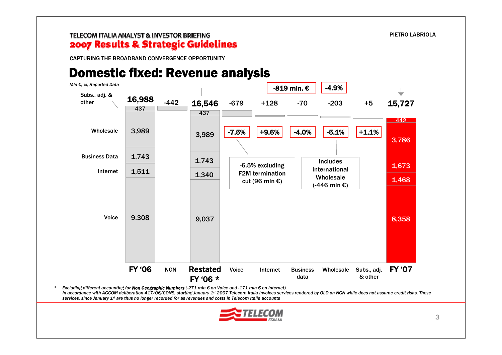CAPTURING THE BROADBAND CONVERGENCE OPPORTUNITY

*\**

### Domestic fixed: Revenue analysis



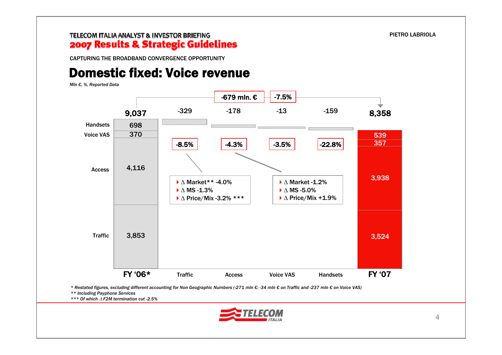CAPTURING THE BROADBAND CONVERGENCE OPPORTUNITY

## Domestic fixed: Voice revenue

*Mln €, %, Reported Data*



\* Restated figures, excluding different accounting for Non Geographic Numbers (-271 mln €: -34 mln € on Traffic and -237 mln € on Voice VAS)

*\*\* Including Payphone Services*

*\*\*\* Of which* Δ *F2M termination cut -2.5%*

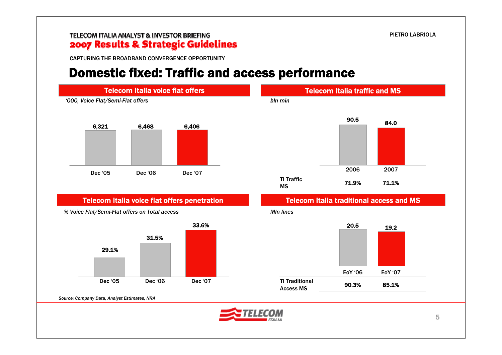CAPTURING THE BROADBAND CONVERGENCE OPPORTUNITY

### Domestic fixed: Traffic and access performance







*Source: Company Data, Analyst Estimates, NRA*

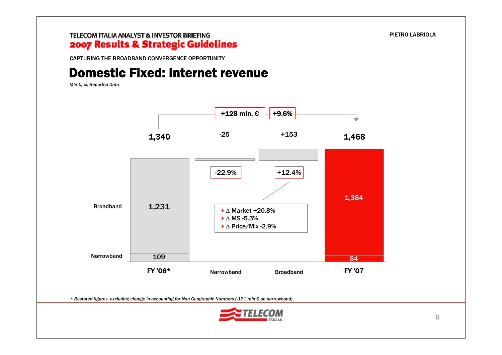CAPTURING THE BROADBAND CONVERGENCE OPPORTUNITY

## Domestic Fixed: Internet revenue

*Mln €, %, Reported Data*

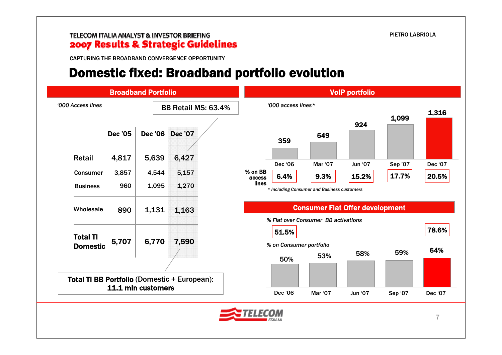CAPTURING THE BROADBAND CONVERGENCE OPPORTUNITY

### Domestic fixed: Broadband portfolio evolution

|                                    |                | <b>Broadband Portfolio</b> |                                              |                   |                                  |                                             | <b>VolP portfolio</b> |         |         |
|------------------------------------|----------------|----------------------------|----------------------------------------------|-------------------|----------------------------------|---------------------------------------------|-----------------------|---------|---------|
| '000 Access lines                  |                |                            | BB Retail MS: 63.4%                          |                   | '000 access lines*               |                                             |                       | 1,099   | 1,316   |
|                                    | <b>Dec '05</b> | <b>Dec '06</b>             | <b>Dec '07</b>                               |                   | 359                              | 549                                         | 924                   |         |         |
| <b>Retail</b>                      | 4,817          | 5,639                      | 6,427                                        |                   | Dec '06                          | Mar '07                                     | Jun '07               | Sep '07 | Dec '07 |
| <b>Consumer</b>                    | 3,857          | 4,544                      | 5,157                                        | % on BB<br>access | 6.4%                             | 9.3%                                        | 15.2%                 | 17.7%   | 20.5%   |
| <b>Business</b>                    | 960            | 1,095                      | 1,270                                        | lines             |                                  | * Including Consumer and Business customers |                       |         |         |
| Wholesale                          | 890            | 1,131                      | 1,163                                        |                   |                                  | <b>Consumer Flat Offer development</b>      |                       |         |         |
| <b>Total TI</b><br><b>Domestic</b> | 5,707          | 6,770                      | 7,590                                        |                   | 51.5%<br>% on Consumer portfolio | % Flat over Consumer BB activations         |                       |         | 78.6%   |
|                                    |                |                            |                                              |                   | 50%                              | 53%                                         | 58%                   | 59%     | 64%     |
|                                    |                |                            | Total TI BB Portfolio (Domestic + European): |                   |                                  |                                             |                       |         |         |
|                                    |                | 11.1 mln customers         |                                              |                   | Dec '06                          | <b>Mar '07</b>                              | <b>Jun '07</b>        | Sep '07 | Dec '07 |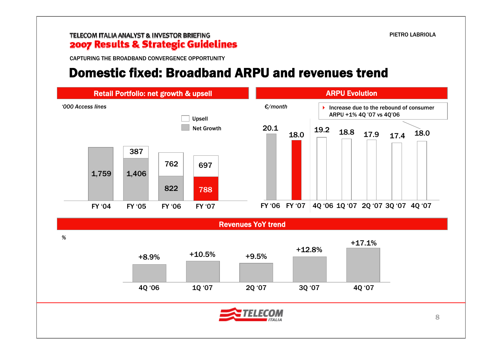CAPTURING THE BROADBAND CONVERGENCE OPPORTUNITY

### Domestic fixed: Broadband ARPU and revenues trend

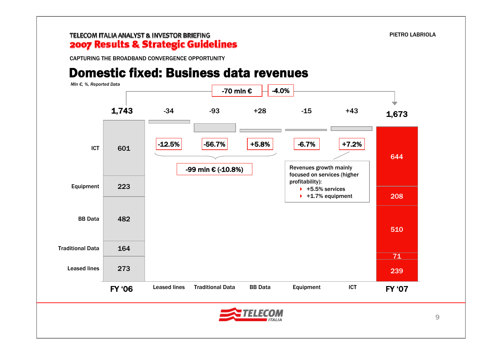CAPTURING THE BROADBAND CONVERGENCE OPPORTUNITY

### Domestic fixed: Business data revenues

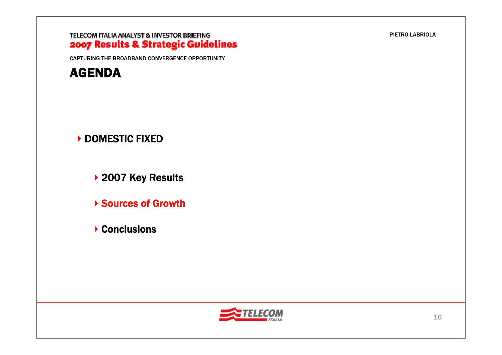CAPTURING THE BROADBAND CONVERGENCE OPPORTUNITY



### ▶ DOMESTIC FIXED

▶ 2007 Key Results

Sources of Growth

▶ Conclusions



PIETRO LABRIOLA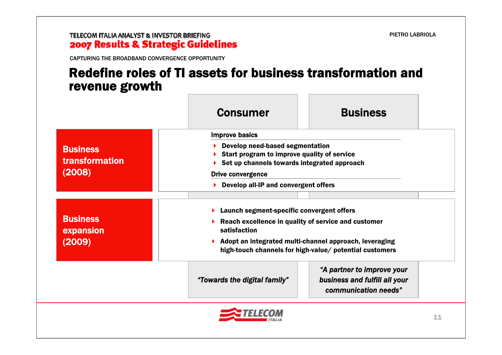CAPTURING THE BROADBAND CONVERGENCE OPPORTUNITY

### Redefine roles of TI assets for business transformation and revenue growth

|                                                    | <b>Consumer</b>                                                                                                                                           | <b>Business</b>                                                                                                   |  |
|----------------------------------------------------|-----------------------------------------------------------------------------------------------------------------------------------------------------------|-------------------------------------------------------------------------------------------------------------------|--|
|                                                    | <b>Improve basics</b>                                                                                                                                     |                                                                                                                   |  |
| <b>Business</b><br><b>transformation</b><br>(2008) | Develop need-based segmentation<br>Start program to improve quality of service<br>Set up channels towards integrated approach<br><b>Drive convergence</b> |                                                                                                                   |  |
|                                                    | Develop all-IP and convergent offers                                                                                                                      |                                                                                                                   |  |
| <b>Business</b><br>expansion<br>(2009)             | $\blacktriangleright$ Launch segment-specific convergent offers<br>Reach excellence in quality of service and customer<br>satisfaction                    | Adopt an integrated multi-channel approach, leveraging<br>high-touch channels for high-value/ potential customers |  |
|                                                    | "Towards the digital family"                                                                                                                              | "A partner to improve your<br>business and fulfill all your<br>communication needs"                               |  |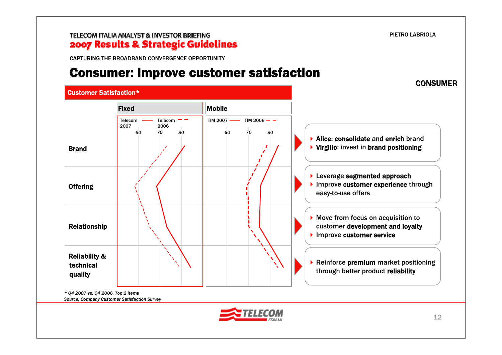#### TELECOM ITALIA ANALYST & INVESTOR BRIEFING 2007 Results & Strategic Guidelines

CAPTURING THE BROADBAND CONVERGENCE OPPORTUNITY

### Consumer: Improve customer satisfaction



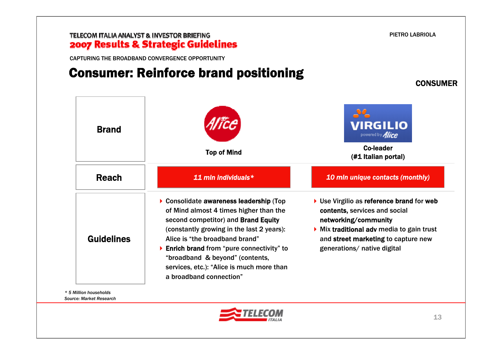CAPTURING THE BROADBAND CONVERGENCE OPPORTUNITY

## Consumer: Reinforce brand positioning

22 **VIRGILIO** Brandpowered by **Alice** Top of Mind<br>
Top of Mind<br>
Co-leader
(#1 Italian portal) Reach*11 mln individuals\* 10 mln unique contacts (monthly)* ▶ Consolidate awareness leadership (Top ▶ Use Virgilio as reference brand for web of Mind almost 4 times higher than the contents, services and social second competitor) and Brand Equity networking/community (constantly growing in the last 2 years): Mix traditional adv media to gain trust GuidelinesAlice is "the broadband brand"and street marketing to capture new ▶ Enrich brand from "pure connectivity" to generations/ native digital "broadband & beyond" (contents, services, etc.): "Alice is much more than a broadband connection"

*\* 5 Million householdsSource: Market Research*



PIETRO LABRIOLA

CONSUMER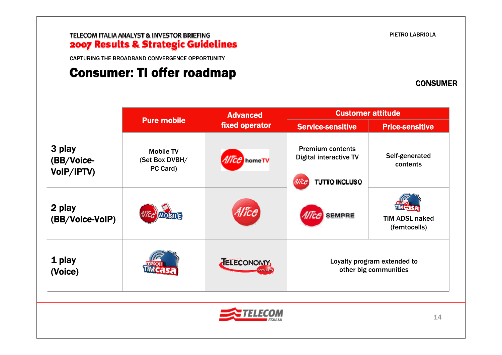CAPTURING THE BROADBAND CONVERGENCE OPPORTUNITY

## Consumer: TI offer roadmap

PIETRO LABRIOLA

**CONSUMER** 

|                                    |                                                | <b>Advanced</b>         | <b>Customer attitude</b>                                                  |                                       |  |
|------------------------------------|------------------------------------------------|-------------------------|---------------------------------------------------------------------------|---------------------------------------|--|
|                                    | <b>Pure mobile</b>                             | fixed operator          | <b>Service-sensitive</b>                                                  | <b>Price-sensitive</b>                |  |
| 3 play<br>(BB/Voice-<br>VoIP/IPTV) | <b>Mobile TV</b><br>(Set Box DVBH/<br>PC Card) | <i>Alice</i> homeTV     | <b>Premium contents</b><br><b>Digital interactive TV</b><br>TUTTO INCLUSO | Self-generated<br>contents            |  |
| 2 play<br>(BB/Voice-VoIP)          | <b>MOBILE</b>                                  | lice                    | Alice SEMPRE                                                              | <b>TIM ADSL naked</b><br>(femtocells) |  |
| 1 play<br>(Voice)                  | naxxi                                          | TELECONOMY<br>Zero-Zaro | Loyalty program extended to<br>other big communities                      |                                       |  |
|                                    |                                                |                         |                                                                           | 14                                    |  |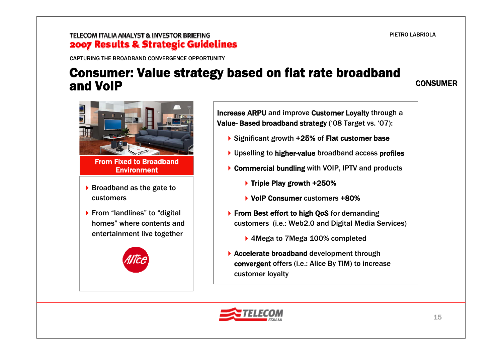### TELECOM ITALIA ANALYST & INVESTOR BRIEFING 2007 Results & Strategic Guidelines

CAPTURING THE BROADBAND CONVERGENCE OPPORTUNITY

### Consumer: Value strategy based on flat rate broadband and VoIP

CONSUMER



From Fixed to Broadband **Environment** 

- $\triangleright$  Broadband as the gate to customers
- ▶ From "landlines" to "digital homes" where contents and entertainment live together



Increase ARPU and improve Customer Loyalty through a Value- Based broadband strategy ('08 Target vs. '07):

- ▶ Significant growth +25% of Flat customer base
- ▶ Upselling to higher-value broadband access profiles
- ▶ Commercial bundling with VOIP, IPTV and products
	- $\triangleright$  Triple Play growth +250%
	- VoIP Consumer customers +80%
- ▶ From Best effort to high OoS for demanding customers (i.e.: Web2.0 and Digital Media Services)
	- ▶ 4 Mega to 7 Mega 100% completed
- ▶ Accelerate broadband development through convergent offers (i.e.: Alice By TIM) to increase customer loyalty

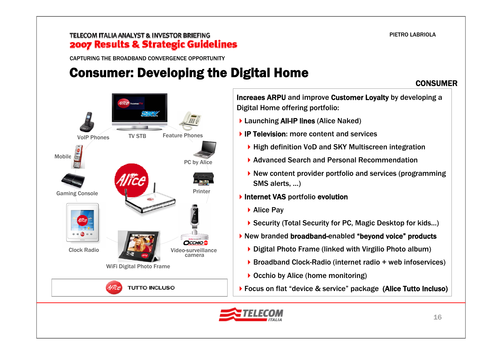CONSUMER

### TELECOM ITALIA ANALYST & INVESTOR BRIEFING 2007 Results & Strategic Guidelines

CAPTURING THE BROADBAND CONVERGENCE OPPORTUNITY

TV STB

WiFi Digital Photo Frame

**TUTTO INCLUSO** 

Mobile

VoIP Phones

Clock Radio

Gaming Console

## Consumer: Developing the Digital Home

Video-surveillance camera

**OCCHIO** 



Increaes ARPU and improve Customer Loyalty by developing a Digital Home offering portfolio:

- ▶ Launching All-IP lines (Alice Naked)
- ▶ IP Television: more content and services
	- ▶ High definition VoD and SKY Multiscreen integration
	- ▶ Advanced Search and Personal Recommendation
	- New content provider portfolio and services (programming SMS alerts, …)
- **Internet VAS portfolio evolution** 
	- ▶ Security (Total Security for PC, Magic Desktop for kids...)
- New branded broadband-enabled "beyond voice" products
	- ▶ Digital Photo Frame (linked with Virgilio Photo album)
	- ▶ Broadband Clock-Radio (internet radio + web infoservices)
	- ▶ Occhio by Alice (home monitoring)
- Focus on flat "device & service" package (Alice Tutto Incluso)

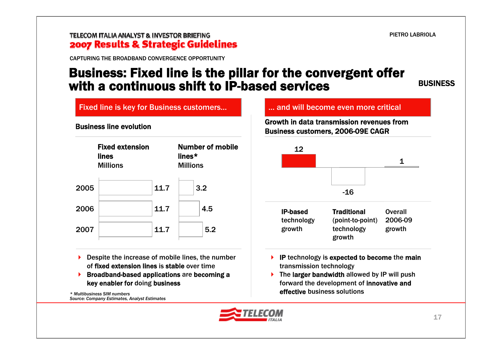### TELECOM ITALIA ANALYST & INVESTOR BRIEFING 2007 Results & Strategic Guidelines

CAPTURING THE BROADBAND CONVERGENCE OPPORTUNITY

### Business: Fixed line is the pillar for the convergent offer with a continuous shift to IP-based services

BUSINESS



- ▶ Despite the increase of mobile lines, the number of fixed extension lines is stable over time
- ▶ Broadband-based applications are becoming a key enabler for doing business

*\* Multibusiness SIM numbersSource: Company Estimates, Analyst Estimates*

Growth in data transmission revenues from Business customers, 2006-09E CAGR



 $\triangleright$  The larger bandwidth allowed by IP will push forward the development of innovative and effective business solutions

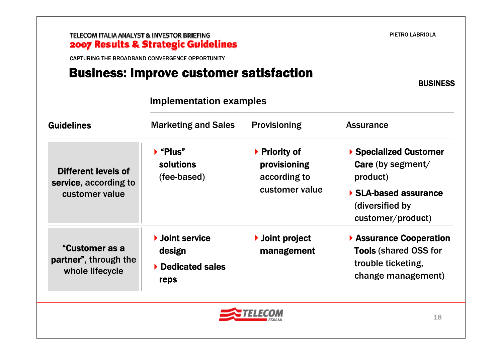CAPTURING THE BROADBAND CONVERGENCE OPPORTUNITY

## Business: Improve customer satisfaction

**BUSINESS** 

| <b>Guidelines</b>                                          | <b>Marketing and Sales</b>                               | <b>Provisioning</b>                           | <b>Assurance</b>                                                                                  |  |
|------------------------------------------------------------|----------------------------------------------------------|-----------------------------------------------|---------------------------------------------------------------------------------------------------|--|
| Different levels of<br>service, according to               | $\blacktriangleright$ "Plus"<br>solutions<br>(fee-based) | ▶ Priority of<br>provisioning<br>according to | ▶ Specialized Customer<br>Care (by segment/<br>product)                                           |  |
| customer value                                             |                                                          | customer value                                | ▶ SLA-based assurance<br>(diversified by<br>customer/product)                                     |  |
| "Customer as a<br>partner", through the<br>whole lifecycle | ▶ Joint service<br>design<br>Dedicated sales<br>reps     | ▶ Joint project<br>management                 | Assurance Cooperation<br><b>Tools (shared OSS for</b><br>trouble ticketing,<br>change management) |  |

### **Implementation examples**



PIETRO LABRIOLA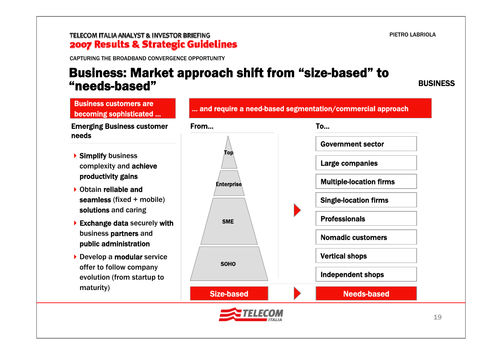#### TELECOM ITALIA ANALYST & INVESTOR BRIEFING 2007 Results & Strategic Guidelines

CAPTURING THE BROADBAND CONVERGENCE OPPORTUNITY

### Business: Market approach shift from "size-based" to "needs-based"

BUSINESS

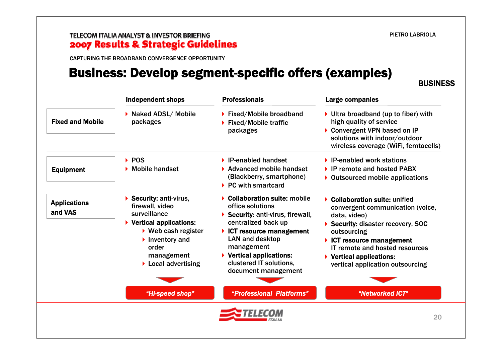#### TELECOM ITALIA ANALYST & INVESTOR BRIEFING 2007 Results & Strategic Guidelines

CAPTURING THE BROADBAND CONVERGENCE OPPORTUNITY

### Business: Develop segment-specific offers (examples)

**BUSINESS** 

|                                | <b>Independent shops</b>                                                                                                                                                                                                                           | <b>Professionals</b>                                                                                                                                                                                                                                                                           | <b>Large companies</b>                                                                                                                                                                                                                                                              |
|--------------------------------|----------------------------------------------------------------------------------------------------------------------------------------------------------------------------------------------------------------------------------------------------|------------------------------------------------------------------------------------------------------------------------------------------------------------------------------------------------------------------------------------------------------------------------------------------------|-------------------------------------------------------------------------------------------------------------------------------------------------------------------------------------------------------------------------------------------------------------------------------------|
| <b>Fixed and Mobile</b>        | Maked ADSL/ Mobile<br>packages                                                                                                                                                                                                                     | ▶ Fixed/Mobile broadband<br>▶ Fixed/Mobile traffic<br>packages                                                                                                                                                                                                                                 | $\triangleright$ Ultra broadband (up to fiber) with<br>high quality of service<br>Convergent VPN based on IP<br>solutions with indoor/outdoor<br>wireless coverage (WiFi, femtocells)                                                                                               |
| <b>Equipment</b>               | $\triangleright$ POS<br>$\blacktriangleright$ Mobile handset                                                                                                                                                                                       | $\blacktriangleright$ IP-enabled handset<br>▶ Advanced mobile handset<br>(Blackberry, smartphone)<br>$\triangleright$ PC with smartcard                                                                                                                                                        | ▶ IP-enabled work stations<br>▶ IP remote and hosted PABX<br>• Outsourced mobile applications                                                                                                                                                                                       |
| <b>Applications</b><br>and VAS | Security: anti-virus,<br>firewall, video<br>surveillance<br>$\triangleright$ Vertical applications:<br>$\triangleright$ Web cash register<br>$\blacktriangleright$ Inventory and<br>order<br>management<br>$\blacktriangleright$ Local advertising | ▶ Collaboration suite: mobile<br>office solutions<br>$\triangleright$ Security: anti-virus, firewall,<br>centralized back up<br>$\triangleright$ ICT resource management<br><b>LAN and desktop</b><br>management<br>▶ Vertical applications:<br>clustered IT solutions,<br>document management | ▶ Collaboration suite: unified<br>convergent communication (voice,<br>data, video)<br>Security: disaster recovery, SOC<br>outsourcing<br>$\triangleright$ ICT resource management<br>IT remote and hosted resources<br>▶ Vertical applications:<br>vertical application outsourcing |
|                                | "Hi-speed shop"                                                                                                                                                                                                                                    | "Professional Platforms"                                                                                                                                                                                                                                                                       | "Networked ICT"                                                                                                                                                                                                                                                                     |
|                                |                                                                                                                                                                                                                                                    |                                                                                                                                                                                                                                                                                                | 20                                                                                                                                                                                                                                                                                  |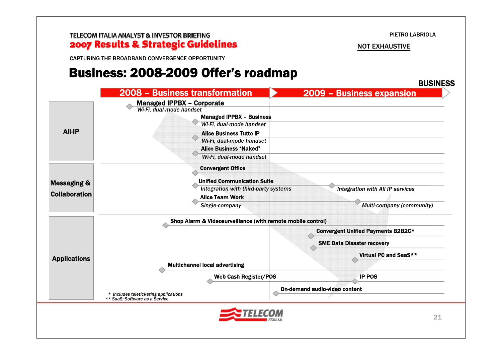TELECOM ITALIA ANALYST & INVESTOR BRIEFING 2007 Results & Strategic Guidelines

NOT EXHAUSTIVE

CAPTURING THE BROADBAND CONVERGENCE OPPORTUNITY

### Business: 2008-2009 Offer's roadmap

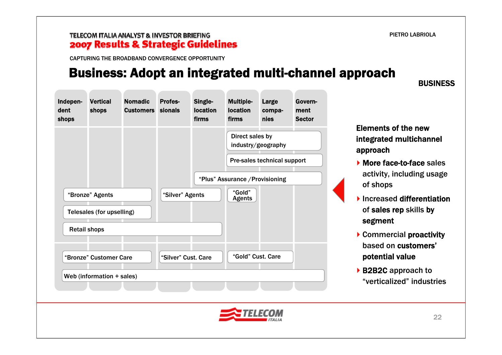BUSINESS

#### TELECOM ITALIA ANALYST & INVESTOR BRIEFING 2007 Results & Strategic Guidelines

CAPTURING THE BROADBAND CONVERGENCE OPPORTUNITY

### Business: Adopt an integrated multi-channel approach



### Elements of the new integrated multichannel approach

- ▶ More face-to-face sales activity, including usage of shops
- Increased differentiation of sales rep skills by segment
- Commercial proactivity based on customers'potential value
- ▶ B2B2C approach to "verticalized" industries

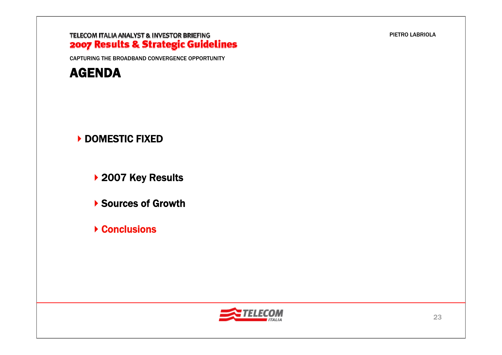CAPTURING THE BROADBAND CONVERGENCE OPPORTUNITY



### ▶ DOMESTIC FIXED

▶ 2007 Key Results

▶ Sources of Growth

▶ Conclusions



PIETRO LABRIOLA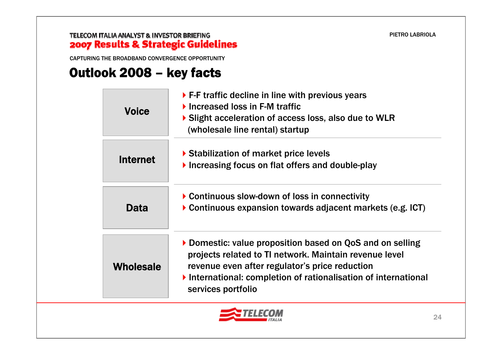CAPTURING THE BROADBAND CONVERGENCE OPPORTUNITY

## Outlook 2008 – key facts

| <b>Voice</b>     | $\triangleright$ F-F traffic decline in line with previous years<br>$\blacktriangleright$ Increased loss in F-M traffic<br>Slight acceleration of access loss, also due to WLR<br>(wholesale line rental) startup                                          |
|------------------|------------------------------------------------------------------------------------------------------------------------------------------------------------------------------------------------------------------------------------------------------------|
| <b>Internet</b>  | ▶ Stabilization of market price levels<br>Increasing focus on flat offers and double-play                                                                                                                                                                  |
| Data             | ▶ Continuous slow-down of loss in connectivity<br>Continuous expansion towards adjacent markets (e.g. ICT)                                                                                                                                                 |
| <b>Wholesale</b> | Domestic: value proposition based on QoS and on selling<br>projects related to TI network. Maintain revenue level<br>revenue even after regulator's price reduction<br>International: completion of rationalisation of international<br>services portfolio |

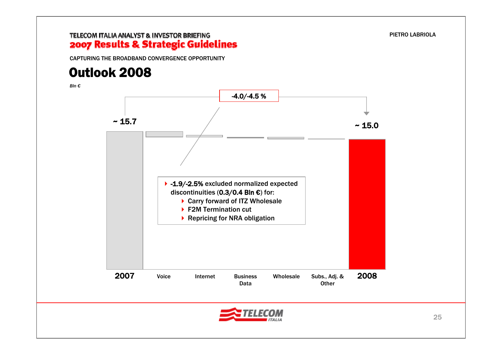#### TELECOM ITALIA ANALYST & INVESTOR BRIEFING 2007 Results & Strategic Guidelines

CAPTURING THE BROADBAND CONVERGENCE OPPORTUNITY

## Outlook 2008

*Bln €*